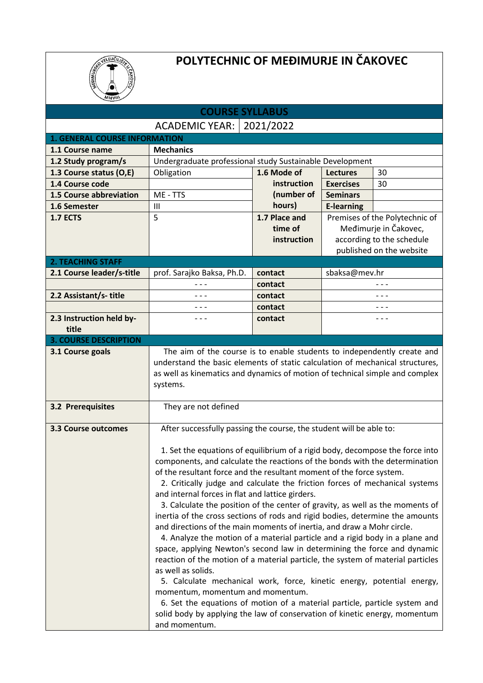

## **POLYTECHNIC OF MEĐIMURJE IN ČAKOVEC**

| <b>COURSE SYLLABUS</b>               |                                                                                                                                                     |               |                                |                           |  |  |  |
|--------------------------------------|-----------------------------------------------------------------------------------------------------------------------------------------------------|---------------|--------------------------------|---------------------------|--|--|--|
| ACADEMIC YEAR:   2021/2022           |                                                                                                                                                     |               |                                |                           |  |  |  |
| <b>1. GENERAL COURSE INFORMATION</b> |                                                                                                                                                     |               |                                |                           |  |  |  |
| 1.1 Course name                      | <b>Mechanics</b>                                                                                                                                    |               |                                |                           |  |  |  |
| 1.2 Study program/s                  | Undergraduate professional study Sustainable Development                                                                                            |               |                                |                           |  |  |  |
| 1.3 Course status (O,E)              | Obligation                                                                                                                                          | 1.6 Mode of   | <b>Lectures</b>                | 30                        |  |  |  |
| 1.4 Course code                      |                                                                                                                                                     | instruction   | <b>Exercises</b>               | 30                        |  |  |  |
| 1.5 Course abbreviation              | ME - TTS                                                                                                                                            | (number of    | <b>Seminars</b>                |                           |  |  |  |
| 1.6 Semester                         | $\mathbf{III}$                                                                                                                                      | hours)        | <b>E-learning</b>              |                           |  |  |  |
| <b>1.7 ECTS</b>                      | 5                                                                                                                                                   | 1.7 Place and | Premises of the Polytechnic of |                           |  |  |  |
|                                      |                                                                                                                                                     | time of       |                                | Međimurje in Čakovec,     |  |  |  |
|                                      |                                                                                                                                                     | instruction   |                                | according to the schedule |  |  |  |
|                                      |                                                                                                                                                     |               |                                | published on the website  |  |  |  |
| <b>2. TEACHING STAFF</b>             |                                                                                                                                                     |               |                                |                           |  |  |  |
| 2.1 Course leader/s-title            | prof. Sarajko Baksa, Ph.D.                                                                                                                          | contact       | sbaksa@mev.hr                  |                           |  |  |  |
|                                      |                                                                                                                                                     | contact       |                                | $- - -$                   |  |  |  |
| 2.2 Assistant/s-title                | $- - -$                                                                                                                                             | contact       |                                | $- - -$                   |  |  |  |
|                                      | - - -<br>- - -                                                                                                                                      | contact       |                                | - - -<br>$- - -$          |  |  |  |
| 2.3 Instruction held by-<br>title    |                                                                                                                                                     | contact       |                                |                           |  |  |  |
| <b>3. COURSE DESCRIPTION</b>         |                                                                                                                                                     |               |                                |                           |  |  |  |
| 3.1 Course goals                     | The aim of the course is to enable students to independently create and                                                                             |               |                                |                           |  |  |  |
|                                      | understand the basic elements of static calculation of mechanical structures,                                                                       |               |                                |                           |  |  |  |
|                                      | as well as kinematics and dynamics of motion of technical simple and complex                                                                        |               |                                |                           |  |  |  |
|                                      | systems.                                                                                                                                            |               |                                |                           |  |  |  |
|                                      |                                                                                                                                                     |               |                                |                           |  |  |  |
| <b>3.2 Prerequisites</b>             | They are not defined                                                                                                                                |               |                                |                           |  |  |  |
|                                      |                                                                                                                                                     |               |                                |                           |  |  |  |
| <b>3.3 Course outcomes</b>           | After successfully passing the course, the student will be able to:                                                                                 |               |                                |                           |  |  |  |
|                                      |                                                                                                                                                     |               |                                |                           |  |  |  |
|                                      | 1. Set the equations of equilibrium of a rigid body, decompose the force into                                                                       |               |                                |                           |  |  |  |
|                                      | components, and calculate the reactions of the bonds with the determination<br>of the resultant force and the resultant moment of the force system. |               |                                |                           |  |  |  |
|                                      | 2. Critically judge and calculate the friction forces of mechanical systems                                                                         |               |                                |                           |  |  |  |
|                                      | and internal forces in flat and lattice girders.                                                                                                    |               |                                |                           |  |  |  |
|                                      | 3. Calculate the position of the center of gravity, as well as the moments of                                                                       |               |                                |                           |  |  |  |
|                                      | inertia of the cross sections of rods and rigid bodies, determine the amounts                                                                       |               |                                |                           |  |  |  |
|                                      | and directions of the main moments of inertia, and draw a Mohr circle.                                                                              |               |                                |                           |  |  |  |
|                                      | 4. Analyze the motion of a material particle and a rigid body in a plane and                                                                        |               |                                |                           |  |  |  |
|                                      | space, applying Newton's second law in determining the force and dynamic                                                                            |               |                                |                           |  |  |  |
|                                      | reaction of the motion of a material particle, the system of material particles                                                                     |               |                                |                           |  |  |  |
|                                      | as well as solids.                                                                                                                                  |               |                                |                           |  |  |  |
|                                      | 5. Calculate mechanical work, force, kinetic energy, potential energy,                                                                              |               |                                |                           |  |  |  |
|                                      | momentum, momentum and momentum.                                                                                                                    |               |                                |                           |  |  |  |
|                                      | 6. Set the equations of motion of a material particle, particle system and                                                                          |               |                                |                           |  |  |  |
|                                      | solid body by applying the law of conservation of kinetic energy, momentum                                                                          |               |                                |                           |  |  |  |
|                                      | and momentum.                                                                                                                                       |               |                                |                           |  |  |  |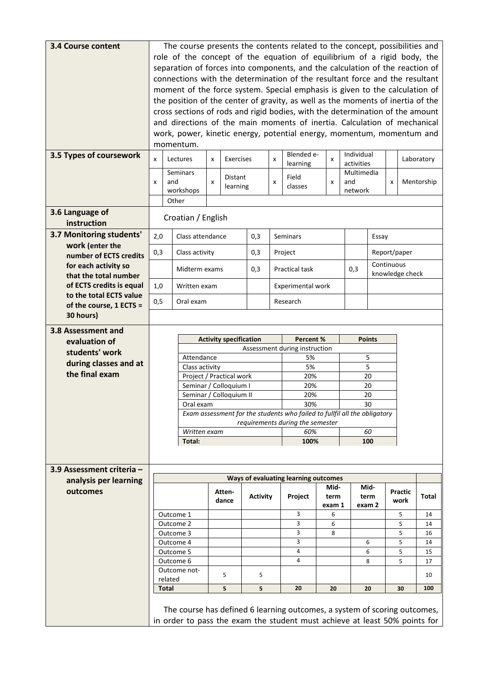| <b>3.4 Course content</b>                         | The course presents the contents related to the concept, possibilities and<br>role of the concept of the equation of equilibrium of a rigid body, the |                                                                                                                                                   |  |                               |                 |   |                                                                           |                 |                          |              |            |              |            |
|---------------------------------------------------|-------------------------------------------------------------------------------------------------------------------------------------------------------|---------------------------------------------------------------------------------------------------------------------------------------------------|--|-------------------------------|-----------------|---|---------------------------------------------------------------------------|-----------------|--------------------------|--------------|------------|--------------|------------|
|                                                   | separation of forces into components, and the calculation of the reaction of                                                                          |                                                                                                                                                   |  |                               |                 |   |                                                                           |                 |                          |              |            |              |            |
|                                                   | connections with the determination of the resultant force and the resultant                                                                           |                                                                                                                                                   |  |                               |                 |   |                                                                           |                 |                          |              |            |              |            |
|                                                   | moment of the force system. Special emphasis is given to the calculation of                                                                           |                                                                                                                                                   |  |                               |                 |   |                                                                           |                 |                          |              |            |              |            |
|                                                   |                                                                                                                                                       | the position of the center of gravity, as well as the moments of inertia of the                                                                   |  |                               |                 |   |                                                                           |                 |                          |              |            |              |            |
|                                                   |                                                                                                                                                       | cross sections of rods and rigid bodies, with the determination of the amount                                                                     |  |                               |                 |   |                                                                           |                 |                          |              |            |              |            |
|                                                   |                                                                                                                                                       | and directions of the main moments of inertia. Calculation of mechanical<br>work, power, kinetic energy, potential energy, momentum, momentum and |  |                               |                 |   |                                                                           |                 |                          |              |            |              |            |
|                                                   |                                                                                                                                                       | momentum.                                                                                                                                         |  |                               |                 |   |                                                                           |                 |                          |              |            |              |            |
| 3.5 Types of coursework                           | Lectures<br>Exercises<br>X<br>X<br>X                                                                                                                  |                                                                                                                                                   |  |                               |                 |   | Blended e-<br>learning                                                    | x               | Individual<br>activities |              |            |              | Laboratory |
|                                                   | Seminars                                                                                                                                              |                                                                                                                                                   |  | Distant                       | Field           |   |                                                                           | Multimedia      |                          |              |            |              |            |
|                                                   | and<br>x                                                                                                                                              |                                                                                                                                                   |  | learning                      |                 | x | classes                                                                   | X               | and<br>network           |              | x          |              | Mentorship |
|                                                   |                                                                                                                                                       | workshops<br>Other                                                                                                                                |  |                               |                 |   |                                                                           |                 |                          |              |            |              |            |
| 3.6 Language of                                   |                                                                                                                                                       |                                                                                                                                                   |  |                               |                 |   |                                                                           |                 |                          |              |            |              |            |
| instruction                                       |                                                                                                                                                       | Croatian / English                                                                                                                                |  |                               |                 |   |                                                                           |                 |                          |              |            |              |            |
| 3.7 Monitoring students'                          | 2,0                                                                                                                                                   | Class attendance                                                                                                                                  |  |                               | 0,3             |   | Seminars<br>Essay                                                         |                 |                          |              |            |              |            |
| work (enter the                                   | 0,3                                                                                                                                                   | Class activity                                                                                                                                    |  |                               | 0,3             |   | Project                                                                   |                 |                          |              |            | Report/paper |            |
| number of ECTS credits<br>for each activity so    |                                                                                                                                                       | Midterm exams                                                                                                                                     |  |                               | 0,3             |   | Practical task                                                            |                 | 0,3                      |              | Continuous |              |            |
| that the total number<br>of ECTS credits is equal | 1,0                                                                                                                                                   | Written exam                                                                                                                                      |  |                               |                 |   | Experimental work                                                         | knowledge check |                          |              |            |              |            |
| to the total ECTS value                           | 0,5                                                                                                                                                   | Oral exam                                                                                                                                         |  |                               |                 |   |                                                                           |                 |                          |              |            |              |            |
| of the course, 1 ECTS =<br>30 hours)              |                                                                                                                                                       |                                                                                                                                                   |  |                               |                 |   | Research                                                                  |                 |                          |              |            |              |            |
| 3.8 Assessment and                                |                                                                                                                                                       |                                                                                                                                                   |  |                               |                 |   |                                                                           |                 |                          |              |            |              |            |
| evaluation of                                     | <b>Activity specification</b><br>Percent %<br><b>Points</b>                                                                                           |                                                                                                                                                   |  |                               |                 |   |                                                                           |                 |                          |              |            |              |            |
|                                                   |                                                                                                                                                       |                                                                                                                                                   |  | Assessment during instruction |                 |   |                                                                           |                 |                          |              |            |              |            |
| students' work                                    |                                                                                                                                                       | Attendance                                                                                                                                        |  |                               |                 |   | 5%                                                                        |                 |                          | 5            |            |              |            |
| during classes and at                             |                                                                                                                                                       | Class activity                                                                                                                                    |  |                               |                 |   | 5%                                                                        |                 |                          | 5            |            |              |            |
| the final exam                                    |                                                                                                                                                       |                                                                                                                                                   |  | Project / Practical work      |                 |   | 20%                                                                       |                 |                          | 20           |            |              |            |
|                                                   |                                                                                                                                                       |                                                                                                                                                   |  | Seminar / Colloquium I        |                 |   | 20%                                                                       |                 |                          | 20           |            |              |            |
|                                                   |                                                                                                                                                       | Oral exam                                                                                                                                         |  | Seminar / Colloquium II       |                 |   | 20%<br>30%                                                                |                 |                          | 20<br>30     |            |              |            |
|                                                   |                                                                                                                                                       |                                                                                                                                                   |  |                               |                 |   | Exam assessment for the students who failed to fullfil all the obligatory |                 |                          |              |            |              |            |
|                                                   |                                                                                                                                                       |                                                                                                                                                   |  |                               |                 |   | requirements during the semester                                          |                 |                          |              |            |              |            |
|                                                   |                                                                                                                                                       | Written exam<br>Total:                                                                                                                            |  |                               |                 |   | 60%<br>100%                                                               |                 |                          | 60<br>100    |            |              |            |
|                                                   |                                                                                                                                                       |                                                                                                                                                   |  |                               |                 |   |                                                                           |                 |                          |              |            |              |            |
| 3.9 Assessment criteria -                         |                                                                                                                                                       |                                                                                                                                                   |  |                               |                 |   |                                                                           |                 |                          |              |            |              |            |
| analysis per learning                             |                                                                                                                                                       |                                                                                                                                                   |  |                               |                 |   | Ways of evaluating learning outcomes                                      |                 |                          |              |            |              |            |
| outcomes                                          |                                                                                                                                                       |                                                                                                                                                   |  | Atten-                        | <b>Activity</b> |   | Project                                                                   | Mid-<br>term    |                          | Mid-<br>term |            | Practic      | Total      |
|                                                   |                                                                                                                                                       |                                                                                                                                                   |  | dance                         |                 |   |                                                                           | exam 1          |                          | exam 2       |            | work         |            |
|                                                   |                                                                                                                                                       | Outcome 1                                                                                                                                         |  |                               |                 |   | 3<br>3                                                                    | 6<br>6          |                          |              |            | 5<br>5       | 14<br>14   |
|                                                   |                                                                                                                                                       | Outcome 2<br>Outcome 3                                                                                                                            |  |                               |                 |   | 3                                                                         | 8               |                          |              |            | 5            | 16         |
|                                                   |                                                                                                                                                       | Outcome 4                                                                                                                                         |  |                               |                 |   | 3                                                                         |                 |                          | 6            |            | 5            | 14         |
|                                                   |                                                                                                                                                       | Outcome 5                                                                                                                                         |  |                               |                 |   | 4                                                                         |                 |                          | 6            |            | 5            | 15         |
|                                                   |                                                                                                                                                       | Outcome 6<br>Outcome not-                                                                                                                         |  |                               |                 |   | 4                                                                         |                 |                          | 8            |            | 5            | 17         |
|                                                   |                                                                                                                                                       | related                                                                                                                                           |  | 5                             | 5               |   |                                                                           |                 |                          |              |            |              | 10         |
|                                                   | Total                                                                                                                                                 |                                                                                                                                                   |  | 5                             | 5               |   | 20                                                                        | 20              |                          | 20           |            | 30           | 100        |
|                                                   |                                                                                                                                                       | The course has defined 6 learning outcomes, a system of scoring outcomes,                                                                         |  |                               |                 |   |                                                                           |                 |                          |              |            |              |            |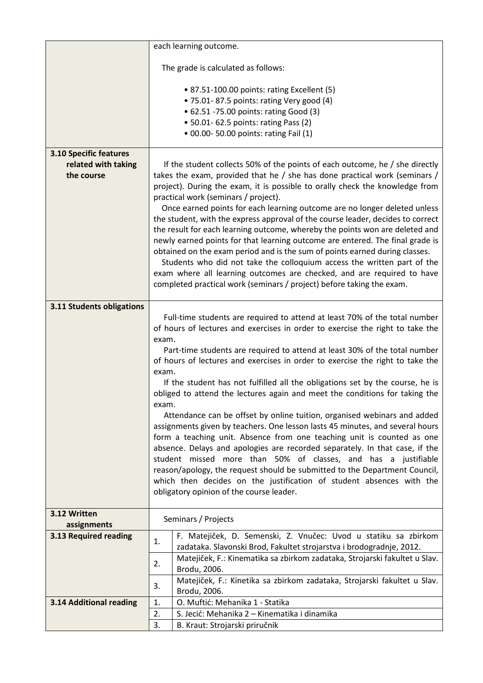|                                | each learning outcome.                                                                                                                                                                                                |  |  |  |  |  |
|--------------------------------|-----------------------------------------------------------------------------------------------------------------------------------------------------------------------------------------------------------------------|--|--|--|--|--|
|                                | The grade is calculated as follows:                                                                                                                                                                                   |  |  |  |  |  |
|                                | • 87.51-100.00 points: rating Excellent (5)<br>· 75.01-87.5 points: rating Very good (4)<br>• 62.51 -75.00 points: rating Good (3)<br>• 50.01- 62.5 points: rating Pass (2)<br>• 00.00- 50.00 points: rating Fail (1) |  |  |  |  |  |
| <b>3.10 Specific features</b>  |                                                                                                                                                                                                                       |  |  |  |  |  |
| related with taking            | If the student collects 50% of the points of each outcome, he / she directly                                                                                                                                          |  |  |  |  |  |
| the course                     | takes the exam, provided that he / she has done practical work (seminars /<br>project). During the exam, it is possible to orally check the knowledge from                                                            |  |  |  |  |  |
|                                | practical work (seminars / project).                                                                                                                                                                                  |  |  |  |  |  |
|                                | Once earned points for each learning outcome are no longer deleted unless<br>the student, with the express approval of the course leader, decides to correct                                                          |  |  |  |  |  |
|                                | the result for each learning outcome, whereby the points won are deleted and                                                                                                                                          |  |  |  |  |  |
|                                | newly earned points for that learning outcome are entered. The final grade is                                                                                                                                         |  |  |  |  |  |
|                                | obtained on the exam period and is the sum of points earned during classes.<br>Students who did not take the colloquium access the written part of the                                                                |  |  |  |  |  |
|                                | exam where all learning outcomes are checked, and are required to have                                                                                                                                                |  |  |  |  |  |
|                                | completed practical work (seminars / project) before taking the exam.                                                                                                                                                 |  |  |  |  |  |
| 3.11 Students obligations      |                                                                                                                                                                                                                       |  |  |  |  |  |
|                                | Full-time students are required to attend at least 70% of the total number                                                                                                                                            |  |  |  |  |  |
|                                | of hours of lectures and exercises in order to exercise the right to take the                                                                                                                                         |  |  |  |  |  |
|                                | exam.<br>Part-time students are required to attend at least 30% of the total number                                                                                                                                   |  |  |  |  |  |
|                                | of hours of lectures and exercises in order to exercise the right to take the                                                                                                                                         |  |  |  |  |  |
|                                | exam.                                                                                                                                                                                                                 |  |  |  |  |  |
|                                | If the student has not fulfilled all the obligations set by the course, he is<br>obliged to attend the lectures again and meet the conditions for taking the                                                          |  |  |  |  |  |
|                                | exam.                                                                                                                                                                                                                 |  |  |  |  |  |
|                                | Attendance can be offset by online tuition, organised webinars and added                                                                                                                                              |  |  |  |  |  |
|                                | assignments given by teachers. One lesson lasts 45 minutes, and several hours<br>form a teaching unit. Absence from one teaching unit is counted as one                                                               |  |  |  |  |  |
|                                | absence. Delays and apologies are recorded separately. In that case, if the                                                                                                                                           |  |  |  |  |  |
|                                | student missed more than 50% of classes, and has a justifiable                                                                                                                                                        |  |  |  |  |  |
|                                | reason/apology, the request should be submitted to the Department Council,<br>which then decides on the justification of student absences with the                                                                    |  |  |  |  |  |
|                                | obligatory opinion of the course leader.                                                                                                                                                                              |  |  |  |  |  |
| 3.12 Written                   |                                                                                                                                                                                                                       |  |  |  |  |  |
| assignments                    | Seminars / Projects                                                                                                                                                                                                   |  |  |  |  |  |
| 3.13 Required reading          | F. Matejiček, D. Semenski, Z. Vnučec: Uvod u statiku sa zbirkom<br>1.                                                                                                                                                 |  |  |  |  |  |
|                                | zadataka. Slavonski Brod, Fakultet strojarstva i brodogradnje, 2012.<br>Matejiček, F.: Kinematika sa zbirkom zadataka, Strojarski fakultet u Slav.                                                                    |  |  |  |  |  |
|                                | 2.<br>Brodu, 2006.                                                                                                                                                                                                    |  |  |  |  |  |
|                                | Matejiček, F.: Kinetika sa zbirkom zadataka, Strojarski fakultet u Slav.<br>3.                                                                                                                                        |  |  |  |  |  |
| <b>3.14 Additional reading</b> | Brodu, 2006.<br>O. Muftić: Mehanika 1 - Statika<br>1.                                                                                                                                                                 |  |  |  |  |  |
|                                | S. Jecić: Mehanika 2 – Kinematika i dinamika<br>2.                                                                                                                                                                    |  |  |  |  |  |
|                                | 3.<br>B. Kraut: Strojarski priručnik                                                                                                                                                                                  |  |  |  |  |  |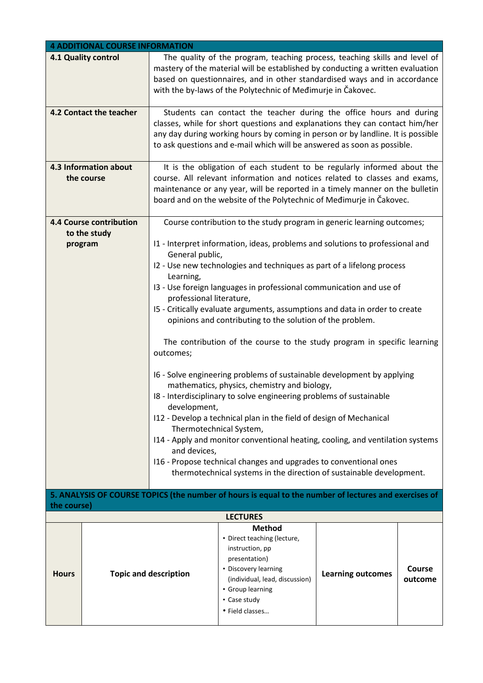|              | <b>4 ADDITIONAL COURSE INFORMATION</b>                                                                                                                                                                                                                                                                                                               |                              |                                                                                                                                                                                                                                                                                                                   |                          |                   |  |  |  |
|--------------|------------------------------------------------------------------------------------------------------------------------------------------------------------------------------------------------------------------------------------------------------------------------------------------------------------------------------------------------------|------------------------------|-------------------------------------------------------------------------------------------------------------------------------------------------------------------------------------------------------------------------------------------------------------------------------------------------------------------|--------------------------|-------------------|--|--|--|
|              | 4.1 Quality control                                                                                                                                                                                                                                                                                                                                  |                              | The quality of the program, teaching process, teaching skills and level of<br>mastery of the material will be established by conducting a written evaluation<br>based on questionnaires, and in other standardised ways and in accordance<br>with the by-laws of the Polytechnic of Medimurje in Čakovec.         |                          |                   |  |  |  |
|              | 4.2 Contact the teacher                                                                                                                                                                                                                                                                                                                              |                              | Students can contact the teacher during the office hours and during<br>classes, while for short questions and explanations they can contact him/her<br>any day during working hours by coming in person or by landline. It is possible<br>to ask questions and e-mail which will be answered as soon as possible. |                          |                   |  |  |  |
|              | 4.3 Information about<br>It is the obligation of each student to be regularly informed about the<br>course. All relevant information and notices related to classes and exams,<br>the course<br>maintenance or any year, will be reported in a timely manner on the bulletin<br>board and on the website of the Polytechnic of Medimurje in Čakovec. |                              |                                                                                                                                                                                                                                                                                                                   |                          |                   |  |  |  |
|              | <b>4.4 Course contribution</b>                                                                                                                                                                                                                                                                                                                       |                              | Course contribution to the study program in generic learning outcomes;                                                                                                                                                                                                                                            |                          |                   |  |  |  |
|              | to the study<br>program                                                                                                                                                                                                                                                                                                                              | General public,<br>Learning, | I1 - Interpret information, ideas, problems and solutions to professional and<br>I2 - Use new technologies and techniques as part of a lifelong process                                                                                                                                                           |                          |                   |  |  |  |
|              |                                                                                                                                                                                                                                                                                                                                                      |                              | 13 - Use foreign languages in professional communication and use of                                                                                                                                                                                                                                               |                          |                   |  |  |  |
|              |                                                                                                                                                                                                                                                                                                                                                      | professional literature,     |                                                                                                                                                                                                                                                                                                                   |                          |                   |  |  |  |
|              |                                                                                                                                                                                                                                                                                                                                                      |                              | I5 - Critically evaluate arguments, assumptions and data in order to create<br>opinions and contributing to the solution of the problem.                                                                                                                                                                          |                          |                   |  |  |  |
|              |                                                                                                                                                                                                                                                                                                                                                      | outcomes;                    | The contribution of the course to the study program in specific learning                                                                                                                                                                                                                                          |                          |                   |  |  |  |
|              |                                                                                                                                                                                                                                                                                                                                                      | development,                 | I6 - Solve engineering problems of sustainable development by applying<br>mathematics, physics, chemistry and biology,<br>I8 - Interdisciplinary to solve engineering problems of sustainable                                                                                                                     |                          |                   |  |  |  |
|              |                                                                                                                                                                                                                                                                                                                                                      |                              | I12 - Develop a technical plan in the field of design of Mechanical                                                                                                                                                                                                                                               |                          |                   |  |  |  |
|              |                                                                                                                                                                                                                                                                                                                                                      |                              | Thermotechnical System,<br>I14 - Apply and monitor conventional heating, cooling, and ventilation systems                                                                                                                                                                                                         |                          |                   |  |  |  |
|              |                                                                                                                                                                                                                                                                                                                                                      | and devices,                 |                                                                                                                                                                                                                                                                                                                   |                          |                   |  |  |  |
|              |                                                                                                                                                                                                                                                                                                                                                      |                              | I16 - Propose technical changes and upgrades to conventional ones<br>thermotechnical systems in the direction of sustainable development.                                                                                                                                                                         |                          |                   |  |  |  |
|              |                                                                                                                                                                                                                                                                                                                                                      |                              |                                                                                                                                                                                                                                                                                                                   |                          |                   |  |  |  |
| the course)  |                                                                                                                                                                                                                                                                                                                                                      |                              | 5. ANALYSIS OF COURSE TOPICS (the number of hours is equal to the number of lectures and exercises of                                                                                                                                                                                                             |                          |                   |  |  |  |
|              |                                                                                                                                                                                                                                                                                                                                                      |                              | <b>LECTURES</b>                                                                                                                                                                                                                                                                                                   |                          |                   |  |  |  |
| <b>Hours</b> |                                                                                                                                                                                                                                                                                                                                                      | <b>Topic and description</b> | <b>Method</b><br>• Direct teaching (lecture,<br>instruction, pp<br>presentation)<br>• Discovery learning<br>(individual, lead, discussion)<br>• Group learning<br>• Case study<br>· Field classes                                                                                                                 | <b>Learning outcomes</b> | Course<br>outcome |  |  |  |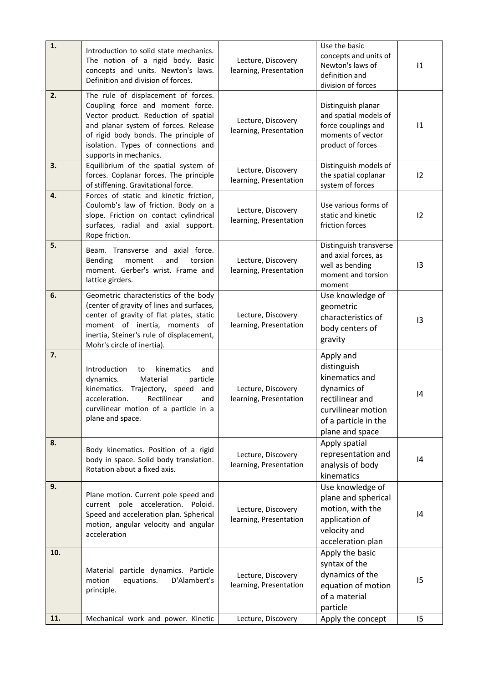| 1.  | Introduction to solid state mechanics.<br>The notion of a rigid body. Basic<br>concepts and units. Newton's laws.<br>Definition and division of forces.                                                                                                           | Lecture, Discovery<br>learning, Presentation | Use the basic<br>concepts and units of<br>Newton's laws of<br>definition and<br>division of forces                                            | 1  |
|-----|-------------------------------------------------------------------------------------------------------------------------------------------------------------------------------------------------------------------------------------------------------------------|----------------------------------------------|-----------------------------------------------------------------------------------------------------------------------------------------------|----|
| 2.  | The rule of displacement of forces.<br>Coupling force and moment force.<br>Vector product. Reduction of spatial<br>and planar system of forces. Release<br>of rigid body bonds. The principle of<br>isolation. Types of connections and<br>supports in mechanics. | Lecture, Discovery<br>learning, Presentation | Distinguish planar<br>and spatial models of<br>force couplings and<br>moments of vector<br>product of forces                                  | 1  |
| 3.  | Equilibrium of the spatial system of<br>forces. Coplanar forces. The principle<br>of stiffening. Gravitational force.                                                                                                                                             | Lecture, Discovery<br>learning, Presentation | Distinguish models of<br>the spatial coplanar<br>system of forces                                                                             | 12 |
| 4.  | Forces of static and kinetic friction,<br>Coulomb's law of friction. Body on a<br>slope. Friction on contact cylindrical<br>surfaces, radial and axial support.<br>Rope friction.                                                                                 | Lecture, Discovery<br>learning, Presentation | Use various forms of<br>static and kinetic<br>friction forces                                                                                 | 12 |
| 5.  | Beam. Transverse and axial force.<br>Bending<br>moment<br>and<br>torsion<br>moment. Gerber's wrist. Frame and<br>lattice girders.                                                                                                                                 | Lecture, Discovery<br>learning, Presentation | Distinguish transverse<br>and axial forces, as<br>well as bending<br>moment and torsion<br>moment                                             | 13 |
| 6.  | Geometric characteristics of the body<br>(center of gravity of lines and surfaces,<br>center of gravity of flat plates, static<br>moment of inertia, moments of<br>inertia, Steiner's rule of displacement,<br>Mohr's circle of inertia).                         | Lecture, Discovery<br>learning, Presentation | Use knowledge of<br>geometric<br>characteristics of<br>body centers of<br>gravity                                                             | 13 |
| 7.  | Introduction<br>kinematics<br>to<br>and<br>dynamics.<br>Material<br>particle<br>kinematics.<br>Trajectory,<br>speed<br>and<br>acceleration.<br>Rectilinear<br>and<br>curvilinear motion of a particle in a<br>plane and space.                                    | Lecture, Discovery<br>learning, Presentation | Apply and<br>distinguish<br>kinematics and<br>dynamics of<br>rectilinear and<br>curvilinear motion<br>of a particle in the<br>plane and space | 4  |
| 8.  | Body kinematics. Position of a rigid<br>body in space. Solid body translation.<br>Rotation about a fixed axis.                                                                                                                                                    | Lecture, Discovery<br>learning, Presentation | Apply spatial<br>representation and<br>analysis of body<br>kinematics                                                                         | 4  |
| 9.  | Plane motion. Current pole speed and<br>current pole acceleration. Poloid.<br>Speed and acceleration plan. Spherical<br>motion, angular velocity and angular<br>acceleration                                                                                      | Lecture, Discovery<br>learning, Presentation | Use knowledge of<br>plane and spherical<br>motion, with the<br>application of<br>velocity and<br>acceleration plan                            | 4  |
| 10. | Material particle dynamics. Particle<br>motion<br>equations.<br>D'Alambert's<br>principle.                                                                                                                                                                        | Lecture, Discovery<br>learning, Presentation | Apply the basic<br>syntax of the<br>dynamics of the<br>equation of motion<br>of a material<br>particle                                        | 15 |
| 11. | Mechanical work and power. Kinetic                                                                                                                                                                                                                                | Lecture, Discovery                           | Apply the concept                                                                                                                             | 15 |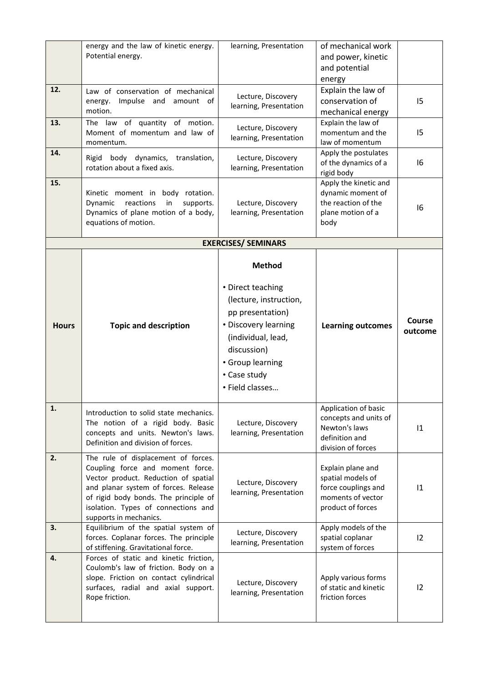| 12.          | energy and the law of kinetic energy.<br>Potential energy.                                                                                                                                                                                                        | learning, Presentation                                                                                                                                                                               | of mechanical work<br>and power, kinetic<br>and potential<br>energy<br>Explain the law of               |                   |
|--------------|-------------------------------------------------------------------------------------------------------------------------------------------------------------------------------------------------------------------------------------------------------------------|------------------------------------------------------------------------------------------------------------------------------------------------------------------------------------------------------|---------------------------------------------------------------------------------------------------------|-------------------|
|              | Law of conservation of mechanical<br>Impulse and amount of<br>energy.<br>motion.                                                                                                                                                                                  | Lecture, Discovery<br>learning, Presentation                                                                                                                                                         | conservation of<br>mechanical energy                                                                    | 15                |
| 13.          | The law of quantity of motion.<br>Moment of momentum and law of<br>momentum.                                                                                                                                                                                      | Lecture, Discovery<br>learning, Presentation                                                                                                                                                         | Explain the law of<br>momentum and the<br>law of momentum                                               | 15                |
| 14.          | Rigid body dynamics, translation,<br>rotation about a fixed axis.                                                                                                                                                                                                 | Lecture, Discovery<br>learning, Presentation                                                                                                                                                         | Apply the postulates<br>of the dynamics of a<br>rigid body                                              | 16                |
| 15.          | Kinetic moment in body rotation.<br>reactions<br>in<br>supports.<br>Dynamic<br>Dynamics of plane motion of a body,<br>equations of motion.                                                                                                                        | Lecture, Discovery<br>learning, Presentation                                                                                                                                                         | Apply the kinetic and<br>dynamic moment of<br>the reaction of the<br>plane motion of a<br>body          | 16                |
|              |                                                                                                                                                                                                                                                                   | <b>EXERCISES/ SEMINARS</b>                                                                                                                                                                           |                                                                                                         |                   |
| <b>Hours</b> | <b>Topic and description</b>                                                                                                                                                                                                                                      | <b>Method</b><br>• Direct teaching<br>(lecture, instruction,<br>pp presentation)<br>• Discovery learning<br>(individual, lead,<br>discussion)<br>• Group learning<br>• Case study<br>· Field classes | <b>Learning outcomes</b>                                                                                | Course<br>outcome |
| 1.           | Introduction to solid state mechanics.<br>The notion of a rigid body. Basic<br>concepts and units. Newton's laws.<br>Definition and division of forces.                                                                                                           | Lecture, Discovery<br>learning, Presentation                                                                                                                                                         | Application of basic<br>concepts and units of<br>Newton's laws<br>definition and<br>division of forces  | 1                 |
| 2.           | The rule of displacement of forces.<br>Coupling force and moment force.<br>Vector product. Reduction of spatial<br>and planar system of forces. Release<br>of rigid body bonds. The principle of<br>isolation. Types of connections and<br>supports in mechanics. | Lecture, Discovery<br>learning, Presentation                                                                                                                                                         | Explain plane and<br>spatial models of<br>force couplings and<br>moments of vector<br>product of forces | 1                 |
| 3.           | Equilibrium of the spatial system of<br>forces. Coplanar forces. The principle<br>of stiffening. Gravitational force.                                                                                                                                             | Lecture, Discovery<br>learning, Presentation                                                                                                                                                         | Apply models of the<br>spatial coplanar<br>system of forces                                             | 12                |
| 4.           | Forces of static and kinetic friction,<br>Coulomb's law of friction. Body on a<br>slope. Friction on contact cylindrical<br>surfaces, radial and axial support.<br>Rope friction.                                                                                 | Lecture, Discovery<br>learning, Presentation                                                                                                                                                         | Apply various forms<br>of static and kinetic<br>friction forces                                         | 12                |